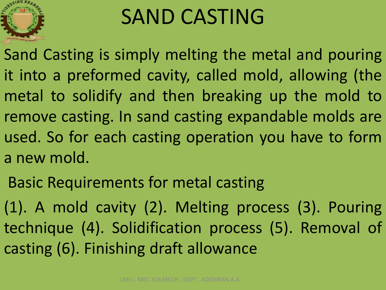

# SAND CASTING

Sand Casting is simply melting the metal and pouring it into a preformed cavity, called mold, allowing (the metal to solidify and then breaking up the mold to remove casting. In sand casting expandable molds are used. So for each casting operation you have to form a new mold.

Basic Requirements for metal casting

(1). A mold cavity (2). Melting process (3). Pouring technique (4). Solidification process (5). Removal of casting (6). Finishing draft allowance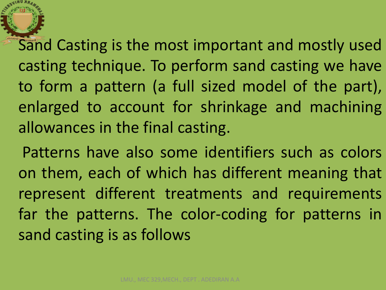Sand Casting is the most important and mostly used casting technique. To perform sand casting we have to form a pattern (a full sized model of the part), enlarged to account for shrinkage and machining allowances in the final casting.

Patterns have also some identifiers such as colors on them, each of which has different meaning that represent different treatments and requirements far the patterns. The color-coding for patterns in sand casting is as follows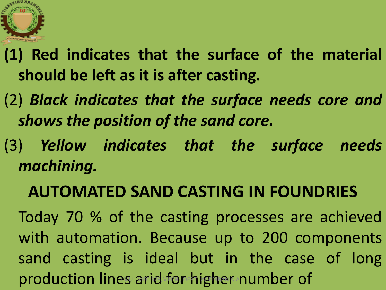

- **(1) Red indicates that the surface of the material should be left as it is after casting.**
- (2) *Black indicates that the surface needs core and shows the position of the sand core.*
- (3) *Yellow indicates that the surface needs machining.*

#### **AUTOMATED SAND CASTING IN FOUNDRIES**

Today 70 % of the casting processes are achieved with automation. Because up to 200 components sand casting is ideal but in the case of long production lines arid for higher number of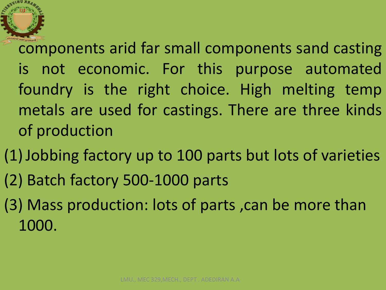components arid far small components sand casting is not economic. For this purpose automated foundry is the right choice. High melting temp metals are used for castings. There are three kinds of production

(1)Jobbing factory up to 100 parts but lots of varieties

- (2) Batch factory 500-1000 parts
- (3) Mass production: lots of parts ,can be more than 1000.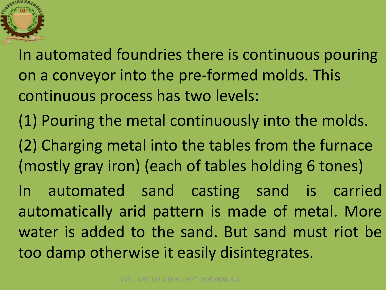

In automated foundries there is continuous pouring on a conveyor into the pre-formed molds. This continuous process has two levels:

(1) Pouring the metal continuously into the molds.

(2) Charging metal into the tables from the furnace (mostly gray iron) (each of tables holding 6 tones)

In automated sand casting sand is carried automatically arid pattern is made of metal. More water is added to the sand. But sand must riot be too damp otherwise it easily disintegrates.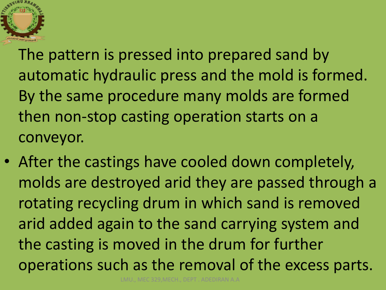

The pattern is pressed into prepared sand by automatic hydraulic press and the mold is formed. By the same procedure many molds are formed then non-stop casting operation starts on a conveyor.

• After the castings have cooled down completely, molds are destroyed arid they are passed through a rotating recycling drum in which sand is removed arid added again to the sand carrying system and the casting is moved in the drum for further operations such as the removal of the excess parts.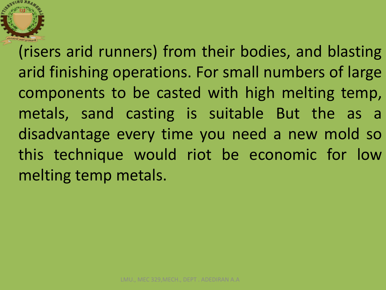(risers arid runners) from their bodies, and blasting arid finishing operations. For small numbers of large components to be casted with high melting temp, metals, sand casting is suitable But the as a disadvantage every time you need a new mold so this technique would riot be economic for low melting temp metals.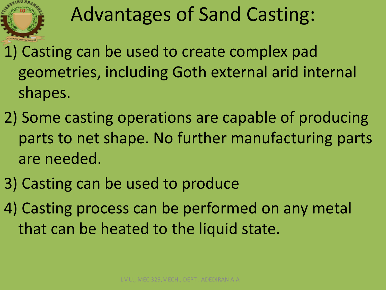

# Advantages of Sand Casting:

- 1) Casting can be used to create complex pad geometries, including Goth external arid internal shapes.
- 2) Some casting operations are capable of producing parts to net shape. No further manufacturing parts are needed.
- 3) Casting can be used to produce
- 4) Casting process can be performed on any metal that can be heated to the liquid state.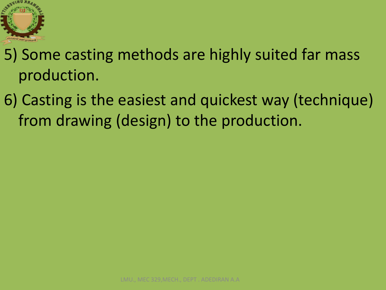

5) Some casting methods are highly suited far mass production.

6) Casting is the easiest and quickest way (technique) from drawing (design) to the production.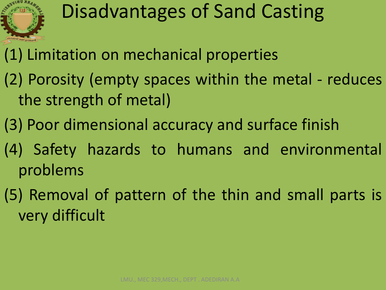

## Disadvantages of Sand Casting

- (1) Limitation on mechanical properties
- (2) Porosity (empty spaces within the metal reduces the strength of metal)
- (3) Poor dimensional accuracy and surface finish
- (4) Safety hazards to humans and environmental problems
- (5) Removal of pattern of the thin and small parts is very difficult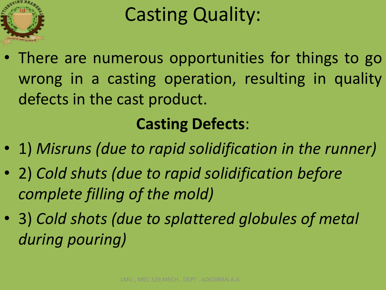

# Casting Quality:

• There are numerous opportunities for things to go wrong in a casting operation, resulting in quality defects in the cast product.

#### **Casting Defects**:

- 1) *Misruns (due to rapid solidification in the runner)*
- 2) *Cold shuts (due to rapid solidification before complete filling of the mold)*
- 3) *Cold shots (due to splattered globules of metal during pouring)*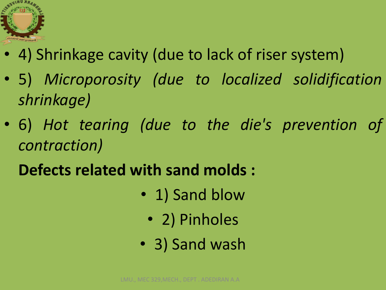

- 4) Shrinkage cavity (due to lack of riser system)
- 5) *Microporosity (due to localized solidification shrinkage)*
- 6) *Hot tearing (due to the die's prevention of contraction)*
	- **Defects related with sand molds :** 
		- 1) Sand blow
			- 2) Pinholes
		- 3) Sand wash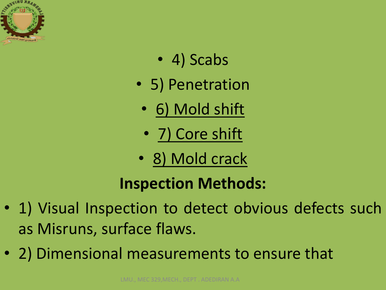

- 4) Scabs
- 5) Penetration
	- 6) Mold shift
	- 7) Core shift
- 8) Mold crack

#### **Inspection Methods:**

- 1) Visual Inspection to detect obvious defects such as Misruns, surface flaws.
- 2) Dimensional measurements to ensure that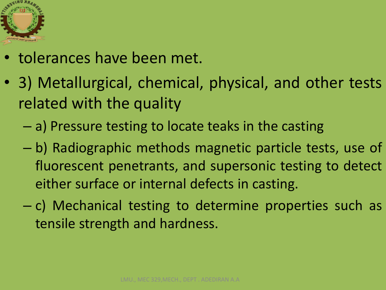

- tolerances have been met.
- 3) Metallurgical, chemical, physical, and other tests related with the quality
	- a) Pressure testing to locate teaks in the casting
	- b) Radiographic methods magnetic particle tests, use of fluorescent penetrants, and supersonic testing to detect either surface or internal defects in casting.
	- c) Mechanical testing to determine properties such as tensile strength and hardness.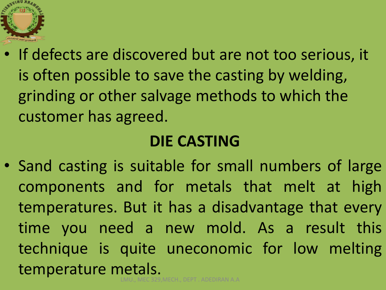

• If defects are discovered but are not too serious, it is often possible to save the casting by welding, grinding or other salvage methods to which the customer has agreed.

#### **DIE CASTING**

• Sand casting is suitable for small numbers of large components and for metals that melt at high temperatures. But it has a disadvantage that every time you need a new mold. As a result this technique is quite uneconomic for low melting temperature metals. LMU., MEC 329,MECH., DEPT . ADEDIRAN A.A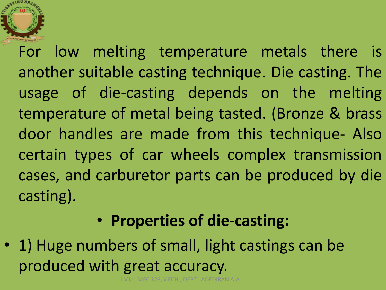For low melting temperature metals there is another suitable casting technique. Die casting. The usage of die-casting depends on the melting temperature of metal being tasted. (Bronze & brass door handles are made from this technique- Also certain types of car wheels complex transmission cases, and carburetor parts can be produced by die casting).

#### • **Properties of die-casting:**

• 1) Huge numbers of small, light castings can be produced with great accuracy.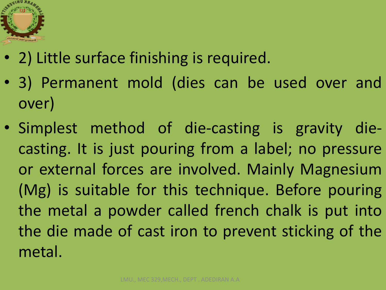

- 2) Little surface finishing is required.
- 3) Permanent mold (dies can be used over and over)
- Simplest method of die-casting is gravity diecasting. It is just pouring from a label; no pressure or external forces are involved. Mainly Magnesium (Mg) is suitable for this technique. Before pouring the metal a powder called french chalk is put into the die made of cast iron to prevent sticking of the metal.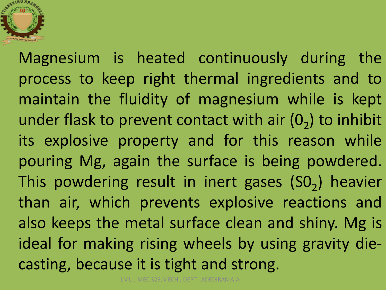

Magnesium is heated continuously during the process to keep right thermal ingredients and to maintain the fluidity of magnesium while is kept under flask to prevent contact with air  $(0<sub>2</sub>)$  to inhibit its explosive property and for this reason while pouring Mg, again the surface is being powdered. This powdering result in inert gases  $(SO<sub>2</sub>)$  heavier than air, which prevents explosive reactions and also keeps the metal surface clean and shiny. Mg is ideal for making rising wheels by using gravity diecasting, because it is tight and strong.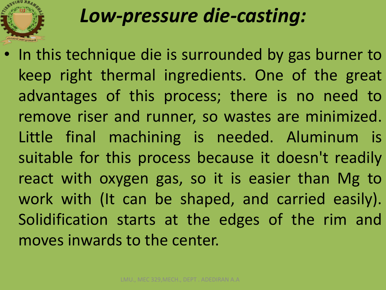# *Low-pressure die-casting:*

• In this technique die is surrounded by gas burner to keep right thermal ingredients. One of the great advantages of this process; there is no need to remove riser and runner, so wastes are minimized. Little final machining is needed. Aluminum is suitable for this process because it doesn't readily react with oxygen gas, so it is easier than Mg to work with (It can be shaped, and carried easily). Solidification starts at the edges of the rim and moves inwards to the center.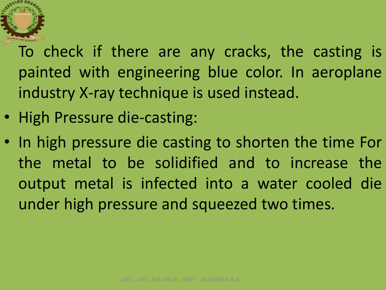

To check if there are any cracks, the casting is painted with engineering blue color. In aeroplane industry X-ray technique is used instead.

- High Pressure die-casting:
- In high pressure die casting to shorten the time For the metal to be solidified and to increase the output metal is infected into a water cooled die under high pressure and squeezed two times.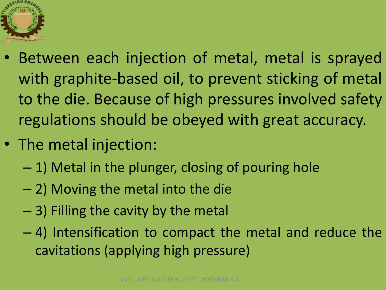

- Between each injection of metal, metal is sprayed with graphite-based oil, to prevent sticking of metal to the die. Because of high pressures involved safety regulations should be obeyed with great accuracy.
- The metal injection:
	- 1) Metal in the plunger, closing of pouring hole
	- 2) Moving the metal into the die
	- 3) Filling the cavity by the metal
	- 4) Intensification to compact the metal and reduce the cavitations (applying high pressure)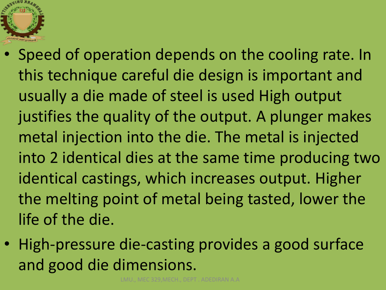

- Speed of operation depends on the cooling rate. In this technique careful die design is important and usually a die made of steel is used High output justifies the quality of the output. A plunger makes metal injection into the die. The metal is injected into 2 identical dies at the same time producing two identical castings, which increases output. Higher the melting point of metal being tasted, lower the life of the die.
- High-pressure die-casting provides a good surface and good die dimensions.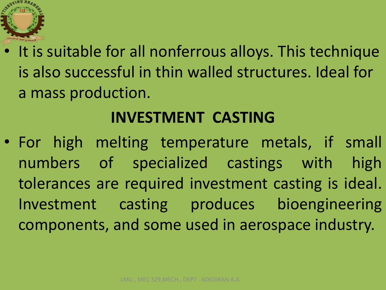

• It is suitable for all nonferrous alloys. This technique is also successful in thin walled structures. Ideal for a mass production.

#### **INVESTMENT CASTING**

• For high melting temperature metals, if small numbers of specialized castings with high tolerances are required investment casting is ideal. Investment casting produces bioengineering components, and some used in aerospace industry.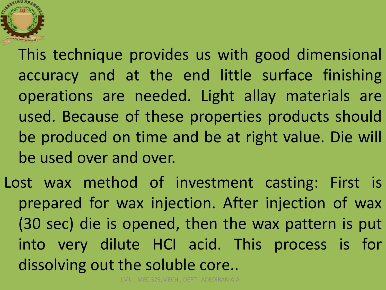

This technique provides us with good dimensional accuracy and at the end little surface finishing operations are needed. Light allay materials are used. Because of these properties products should be produced on time and be at right value. Die will be used over and over.

Lost wax method of investment casting: First is prepared for wax injection. After injection of wax (30 sec) die is opened, then the wax pattern is put into very dilute HCI acid. This process is for dissolving out the soluble core..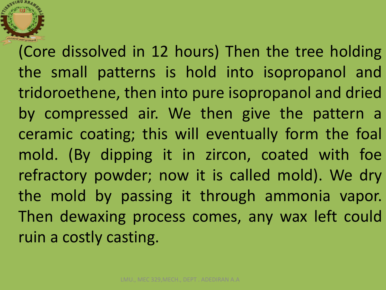(Core dissolved in 12 hours) Then the tree holding the small patterns is hold into isopropanol and tridoroethene, then into pure isopropanol and dried by compressed air. We then give the pattern a ceramic coating; this will eventually form the foal mold. (By dipping it in zircon, coated with foe refractory powder; now it is called mold). We dry the mold by passing it through ammonia vapor. Then dewaxing process comes, any wax left could ruin a costly casting.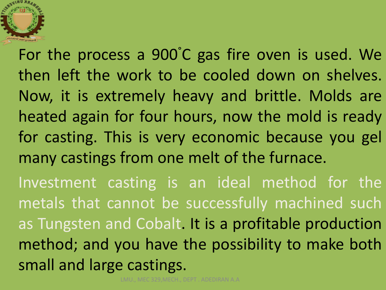

For the process a 900°C gas fire oven is used. We then left the work to be cooled down on shelves. Now, it is extremely heavy and brittle. Molds are heated again for four hours, now the mold is ready for casting. This is very economic because you gel many castings from one melt of the furnace. Investment casting is an ideal method for the metals that cannot be successfully machined such

as Tungsten and Cobalt. It is a profitable production method; and you have the possibility to make both small and large castings.

LMU., MEC 329,MECH., DEPT . ADEDIRAN A.A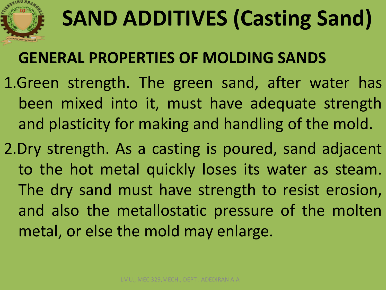

# **SAND ADDITIVES (Casting Sand)**

#### **GENERAL PROPERTIES OF MOLDING SANDS**

- 1.Green strength. The green sand, after water has been mixed into it, must have adequate strength and plasticity for making and handling of the mold.
- 2.Dry strength. As a casting is poured, sand adjacent to the hot metal quickly loses its water as steam. The dry sand must have strength to resist erosion, and also the metallostatic pressure of the molten metal, or else the mold may enlarge.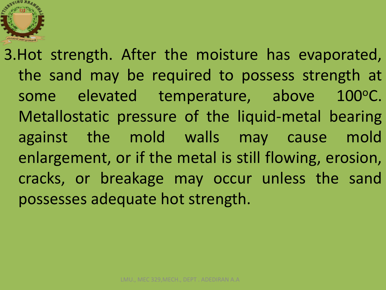

3.Hot strength. After the moisture has evaporated, the sand may be required to possess strength at some elevated temperature, above 100°C. Metallostatic pressure of the liquid-metal bearing against the mold walls may cause mold enlargement, or if the metal is still flowing, erosion, cracks, or breakage may occur unless the sand possesses adequate hot strength.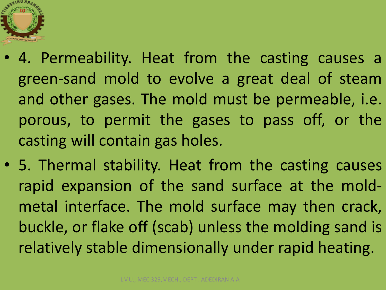

- 4. Permeability. Heat from the casting causes a green‐sand mold to evolve a great deal of steam and other gases. The mold must be permeable, i.e. porous, to permit the gases to pass off, or the casting will contain gas holes.
- 5. Thermal stability. Heat from the casting causes rapid expansion of the sand surface at the mold‐ metal interface. The mold surface may then crack, buckle, or flake off (scab) unless the molding sand is relatively stable dimensionally under rapid heating.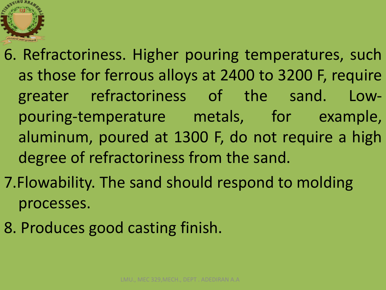

- 6. Refractoriness. Higher pouring temperatures, such as those for ferrous alloys at 2400 to 3200 F, require greater refractoriness of the sand. Low‐ pouring-temperature metals, for example, aluminum, poured at 1300 F, do not require a high degree of refractoriness from the sand.
- 7.Flowability. The sand should respond to molding processes.
- 8. Produces good casting finish.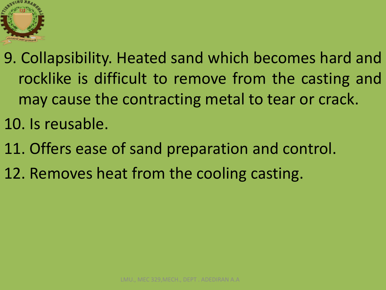

9. Collapsibility. Heated sand which becomes hard and rocklike is difficult to remove from the casting and may cause the contracting metal to tear or crack. 10. Is reusable.

11. Offers ease of sand preparation and control.

12. Removes heat from the cooling casting.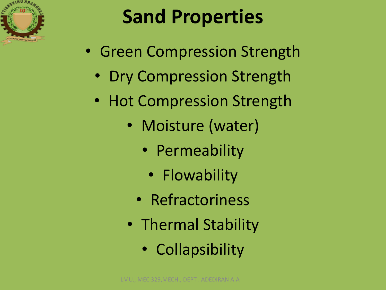

# **Sand Properties**

- Green Compression Strength
	- Dry Compression Strength
	- Hot Compression Strength
		- Moisture (water)
			- Permeability
				- Flowability
			- Refractoriness
		- Thermal Stability
			- Collapsibility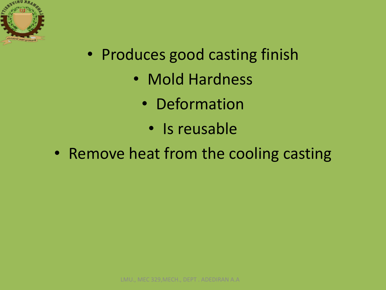

- Produces good casting finish
	- Mold Hardness
		- Deformation
			- Is reusable
- Remove heat from the cooling casting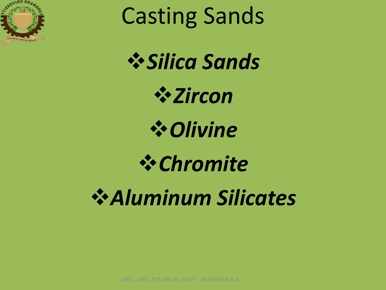

Casting Sands

*Silica Sands*

*Zircon*

*Olivine*

*Chromite*

*Aluminum Silicates*

LMU., MEC 329,MECH., DEPT . ADEDIRAN A.A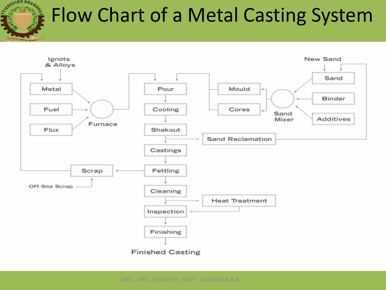

sbrughly Grounds

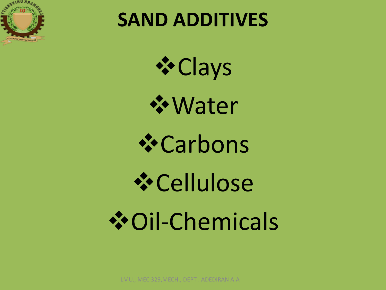

### **SAND ADDITIVES**

*\*Clays* 

Water

Carbons

Cellulose Oil‐Chemicals

LMU., MEC 329,MECH., DEPT . ADEDIRAN A.A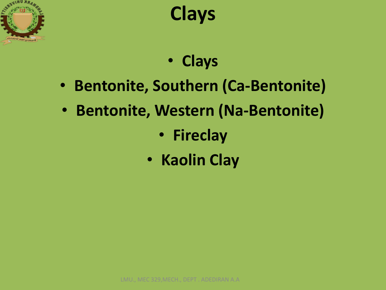



- **Clays**
- **Bentonite, Southern (Ca‐Bentonite)**
- **Bentonite, Western (Na‐Bentonite)**
	- **Fireclay**
	- **Kaolin Clay**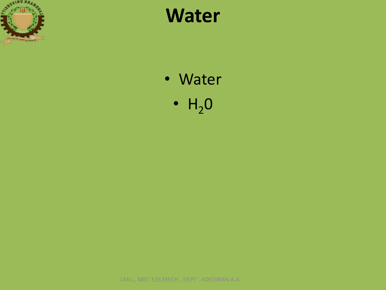

### **Water**

- Water
	- $H_2O$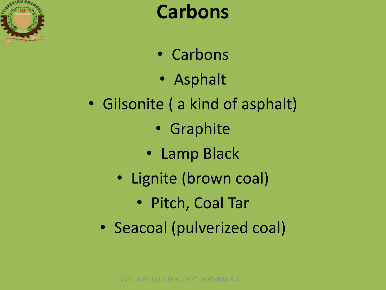

### **Carbons**

- Carbons
- Asphalt
- Gilsonite ( a kind of asphalt)
	- Graphite
	- Lamp Black
	- Lignite (brown coal)
		- Pitch, Coal Tar
	- Seacoal (pulverized coal)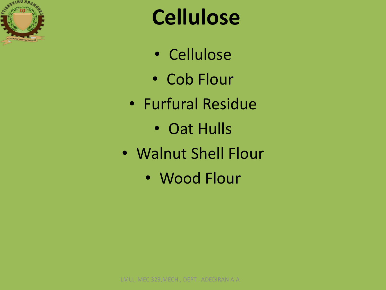

# **Cellulose**

- Cellulose
- Cob Flour
- Furfural Residue
	- Oat Hulls
- Walnut Shell Flour
	- Wood Flour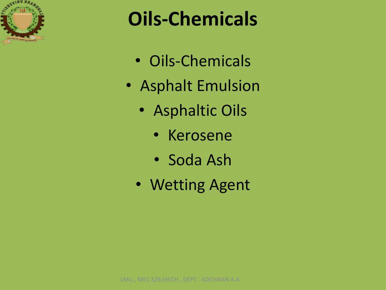

## **Oils‐Chemicals**

- Oils‐Chemicals
- Asphalt Emulsion
	- Asphaltic Oils
		- Kerosene
		- Soda Ash
	- Wetting Agent